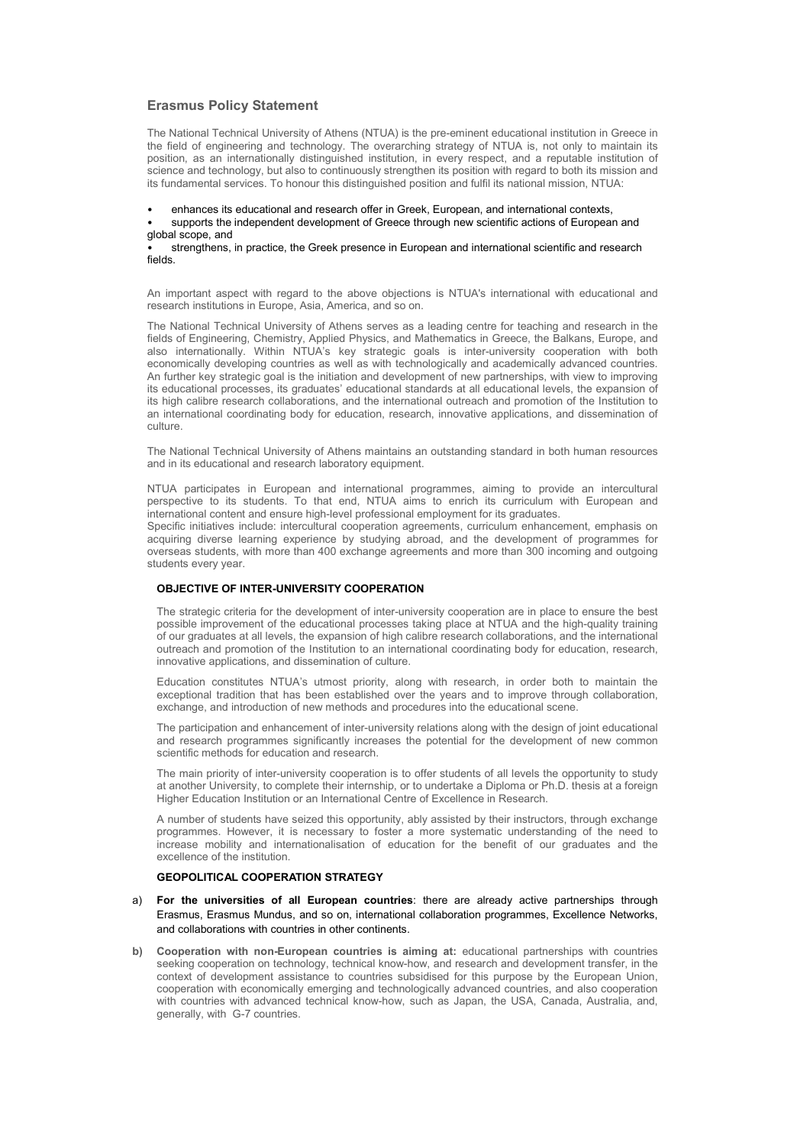# Erasmus Policy Statement

The National Technical University of Athens (NTUA) is the pre-eminent educational institution in Greece in the field of engineering and technology. The overarching strategy of NTUA is, not only to maintain its position, as an internationally distinguished institution, in every respect, and a reputable institution of science and technology, but also to continuously strengthen its position with regard to both its mission and its fundamental services. To honour this distinguished position and fulfil its national mission, NTUA:

• enhances its educational and research offer in Greek, European, and international contexts,

• supports the independent development of Greece through new scientific actions of European and global scope, and

• strengthens, in practice, the Greek presence in European and international scientific and research fields.

An important aspect with regard to the above objections is NTUA's international with educational and research institutions in Europe, Asia, America, and so on.

The National Technical University of Athens serves as a leading centre for teaching and research in the fields of Engineering, Chemistry, Applied Physics, and Mathematics in Greece, the Balkans, Europe, and also internationally. Within NTUA's key strategic goals is inter-university cooperation with both economically developing countries as well as with technologically and academically advanced countries. An further key strategic goal is the initiation and development of new partnerships, with view to improving its educational processes, its graduates' educational standards at all educational levels, the expansion of its high calibre research collaborations, and the international outreach and promotion of the Institution to an international coordinating body for education, research, innovative applications, and dissemination of culture.

The National Technical University of Athens maintains an outstanding standard in both human resources and in its educational and research laboratory equipment.

NTUA participates in European and international programmes, aiming to provide an intercultural perspective to its students. To that end, NTUA aims to enrich its curriculum with European and international content and ensure high-level professional employment for its graduates.

Specific initiatives include: intercultural cooperation agreements, curriculum enhancement, emphasis on acquiring diverse learning experience by studying abroad, and the development of programmes for overseas students, with more than 400 exchange agreements and more than 300 incoming and outgoing students every year.

# OBJECTIVE OF INTER-UNIVERSITY COOPERATION

The strategic criteria for the development of inter-university cooperation are in place to ensure the best possible improvement of the educational processes taking place at NTUA and the high-quality training of our graduates at all levels, the expansion of high calibre research collaborations, and the international outreach and promotion of the Institution to an international coordinating body for education, research, innovative applications, and dissemination of culture.

Education constitutes NTUA's utmost priority, along with research, in order both to maintain the exceptional tradition that has been established over the years and to improve through collaboration, exchange, and introduction of new methods and procedures into the educational scene.

The participation and enhancement of inter-university relations along with the design of joint educational and research programmes significantly increases the potential for the development of new common scientific methods for education and research.

The main priority of inter-university cooperation is to offer students of all levels the opportunity to study at another University, to complete their internship, or to undertake a Diploma or Ph.D. thesis at a foreign Higher Education Institution or an International Centre of Excellence in Research.

A number of students have seized this opportunity, ably assisted by their instructors, through exchange programmes. However, it is necessary to foster a more systematic understanding of the need to increase mobility and internationalisation of education for the benefit of our graduates and the excellence of the institution.

# GEOPOLITICAL COOPERATION STRATEGY

- a) For the universities of all European countries: there are already active partnerships through Erasmus, Erasmus Mundus, and so on, international collaboration programmes, Excellence Networks, and collaborations with countries in other continents.
- b) Cooperation with non-European countries is aiming at: educational partnerships with countries seeking cooperation on technology, technical know-how, and research and development transfer, in the context of development assistance to countries subsidised for this purpose by the European Union, cooperation with economically emerging and technologically advanced countries, and also cooperation with countries with advanced technical know-how, such as Japan, the USA, Canada, Australia, and, generally, with G-7 countries.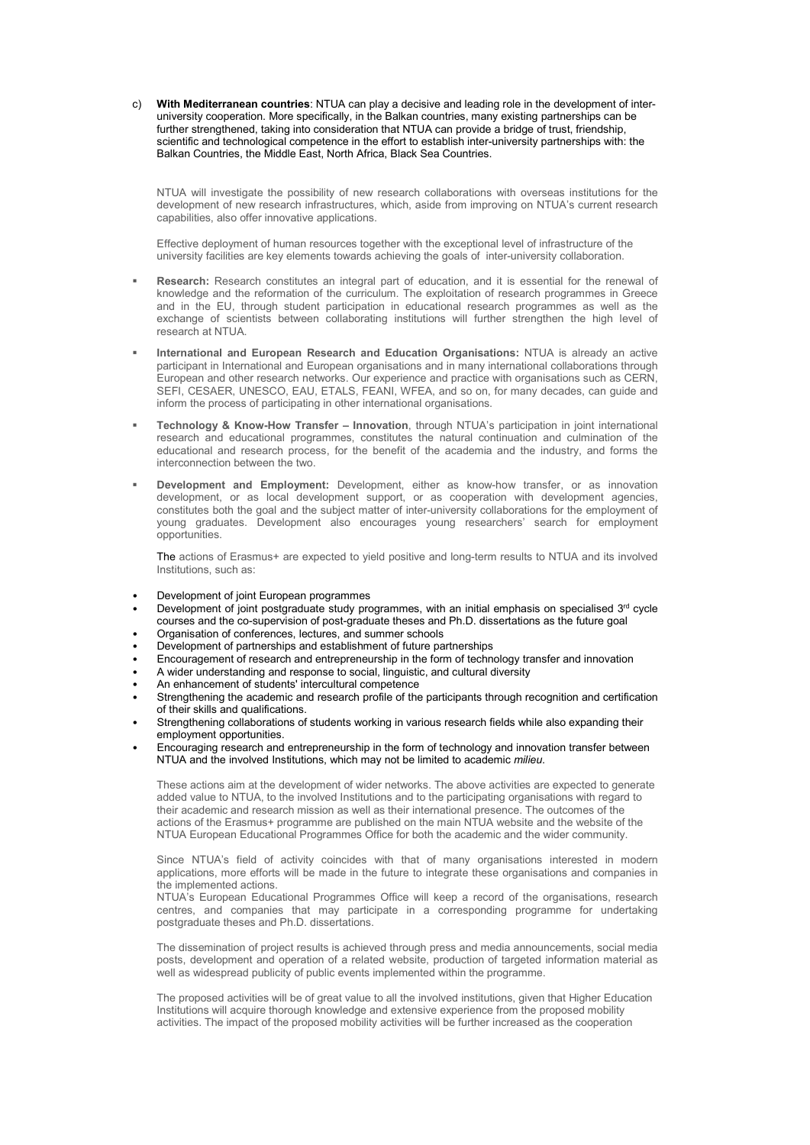c) With Mediterranean countries: NTUA can play a decisive and leading role in the development of interuniversity cooperation. More specifically, in the Balkan countries, many existing partnerships can be further strengthened, taking into consideration that NTUA can provide a bridge of trust, friendship, scientific and technological competence in the effort to establish inter-university partnerships with: the Balkan Countries, the Middle East, North Africa, Black Sea Countries.

NTUA will investigate the possibility of new research collaborations with overseas institutions for the development of new research infrastructures, which, aside from improving on NTUA's current research capabilities, also offer innovative applications.

Effective deployment of human resources together with the exceptional level of infrastructure of the university facilities are key elements towards achieving the goals of inter-university collaboration.

- Research: Research constitutes an integral part of education, and it is essential for the renewal of knowledge and the reformation of the curriculum. The exploitation of research programmes in Greece and in the EU, through student participation in educational research programmes as well as the exchange of scientists between collaborating institutions will further strengthen the high level of research at NTUA.
- International and European Research and Education Organisations: NTUA is already an active participant in International and European organisations and in many international collaborations through European and other research networks. Our experience and practice with organisations such as CERN, SEFI, CESAER, UNESCO, EAU, ETALS, FEANI, WFEA, and so on, for many decades, can guide and inform the process of participating in other international organisations.
- Technology & Know-How Transfer Innovation, through NTUA's participation in joint international research and educational programmes, constitutes the natural continuation and culmination of the educational and research process, for the benefit of the academia and the industry, and forms the interconnection between the two.
- Development and Employment: Development, either as know-how transfer, or as innovation development, or as local development support, or as cooperation with development agencies, constitutes both the goal and the subject matter of inter-university collaborations for the employment of young graduates. Development also encourages young researchers' search for employment opportunities.

The actions of Erasmus+ are expected to yield positive and long-term results to NTUA and its involved Institutions, such as:

- Development of joint European programmes
- Development of joint postgraduate study programmes, with an initial emphasis on specialised 3rd cycle courses and the co-supervision of post-graduate theses and Ph.D. dissertations as the future goal
- Organisation of conferences, lectures, and summer schools
- Development of partnerships and establishment of future partnerships
- Encouragement of research and entrepreneurship in the form of technology transfer and innovation
- A wider understanding and response to social, linguistic, and cultural diversity
- An enhancement of students' intercultural competence
- Strengthening the academic and research profile of the participants through recognition and certification of their skills and qualifications.
- Strengthening collaborations of students working in various research fields while also expanding their employment opportunities.
- Encouraging research and entrepreneurship in the form of technology and innovation transfer between NTUA and the involved Institutions, which may not be limited to academic milieu.

These actions aim at the development of wider networks. The above activities are expected to generate added value to NTUA, to the involved Institutions and to the participating organisations with regard to their academic and research mission as well as their international presence. The outcomes of the actions of the Erasmus+ programme are published on the main NTUA website and the website of the NTUA European Educational Programmes Office for both the academic and the wider community.

Since NTUA's field of activity coincides with that of many organisations interested in modern applications, more efforts will be made in the future to integrate these organisations and companies in the implemented actions.

NTUA's European Educational Programmes Office will keep a record of the organisations, research centres, and companies that may participate in a corresponding programme for undertaking postgraduate theses and Ph.D. dissertations.

The dissemination of project results is achieved through press and media announcements, social media posts, development and operation of a related website, production of targeted information material as well as widespread publicity of public events implemented within the programme.

The proposed activities will be of great value to all the involved institutions, given that Higher Education Institutions will acquire thorough knowledge and extensive experience from the proposed mobility activities. The impact of the proposed mobility activities will be further increased as the cooperation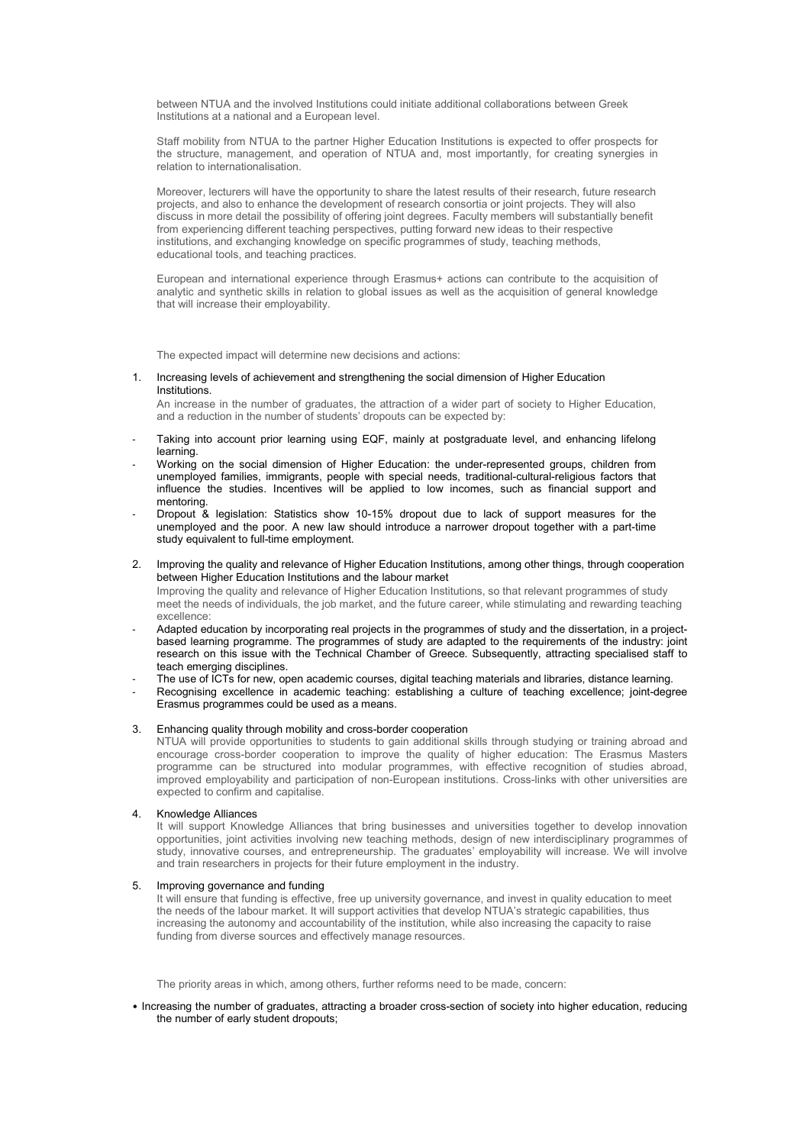between NTUA and the involved Institutions could initiate additional collaborations between Greek Institutions at a national and a European level.

Staff mobility from NTUA to the partner Higher Education Institutions is expected to offer prospects for the structure, management, and operation of NTUA and, most importantly, for creating synergies in relation to internationalisation.

Moreover, lecturers will have the opportunity to share the latest results of their research, future research projects, and also to enhance the development of research consortia or joint projects. They will also discuss in more detail the possibility of offering joint degrees. Faculty members will substantially benefit from experiencing different teaching perspectives, putting forward new ideas to their respective institutions, and exchanging knowledge on specific programmes of study, teaching methods, educational tools, and teaching practices.

European and international experience through Erasmus+ actions can contribute to the acquisition of analytic and synthetic skills in relation to global issues as well as the acquisition of general knowledge that will increase their employability.

The expected impact will determine new decisions and actions:

#### 1. Increasing levels of achievement and strengthening the social dimension of Higher Education **Institutions**

An increase in the number of graduates, the attraction of a wider part of society to Higher Education, and a reduction in the number of students' dropouts can be expected by:

- Taking into account prior learning using EQF, mainly at postgraduate level, and enhancing lifelong learning.
- Working on the social dimension of Higher Education: the under-represented groups, children from unemployed families, immigrants, people with special needs, traditional-cultural-religious factors that influence the studies. Incentives will be applied to low incomes, such as financial support and mentoring.
- Dropout & legislation: Statistics show 10-15% dropout due to lack of support measures for the unemployed and the poor. A new law should introduce a narrower dropout together with a part-time study equivalent to full-time employment.
- 2. Improving the quality and relevance of Higher Education Institutions, among other things, through cooperation between Higher Education Institutions and the labour market

Improving the quality and relevance of Higher Education Institutions, so that relevant programmes of study meet the needs of individuals, the job market, and the future career, while stimulating and rewarding teaching excellence:

- Adapted education by incorporating real projects in the programmes of study and the dissertation, in a projectbased learning programme. The programmes of study are adapted to the requirements of the industry: joint research on this issue with the Technical Chamber of Greece. Subsequently, attracting specialised staff to teach emerging disciplines.
- The use of ICTs for new, open academic courses, digital teaching materials and libraries, distance learning.
- Recognising excellence in academic teaching: establishing a culture of teaching excellence; joint-degree Erasmus programmes could be used as a means.

# 3. Enhancing quality through mobility and cross-border cooperation

NTUA will provide opportunities to students to gain additional skills through studying or training abroad and encourage cross-border cooperation to improve the quality of higher education: The Erasmus Masters programme can be structured into modular programmes, with effective recognition of studies abroad, improved employability and participation of non-European institutions. Cross-links with other universities are expected to confirm and capitalise.

4. Knowledge Alliances

It will support Knowledge Alliances that bring businesses and universities together to develop innovation opportunities, joint activities involving new teaching methods, design of new interdisciplinary programmes of study, innovative courses, and entrepreneurship. The graduates' employability will increase. We will involve and train researchers in projects for their future employment in the industry.

# 5. Improving governance and funding

It will ensure that funding is effective, free up university governance, and invest in quality education to meet the needs of the labour market. It will support activities that develop NTUA's strategic capabilities, thus increasing the autonomy and accountability of the institution, while also increasing the capacity to raise funding from diverse sources and effectively manage resources.

The priority areas in which, among others, further reforms need to be made, concern:

• Increasing the number of graduates, attracting a broader cross-section of society into higher education, reducing the number of early student dropouts;